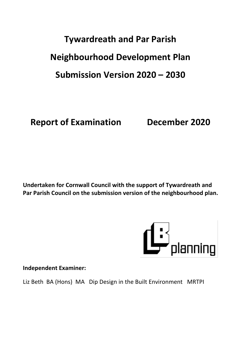# **Tywardreath and Par Parish Neighbourhood Development Plan Submission Version 2020 – 2030**

**Report of Examination December 2020**

**Undertaken for Cornwall Council with the support of Tywardreath and Par Parish Council on the submission version of the neighbourhood plan.**



**Independent Examiner:**

Liz Beth BA (Hons) MA Dip Design in the Built Environment MRTPI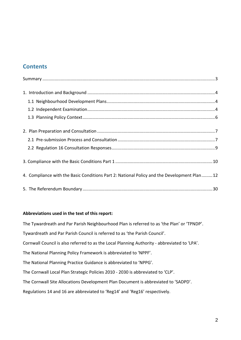## **Contents**

| 4. Compliance with the Basic Conditions Part 2: National Policy and the Development Plan12 |  |
|--------------------------------------------------------------------------------------------|--|
|                                                                                            |  |

#### **Abbreviations used in the text of this report:**

The Tywardreath and Par Parish Neighbourhood Plan is referred to as 'the Plan' or 'TPNDP'. Tywardreath and Par Parish Council is referred to as 'the Parish Council'. Cornwall Council is also referred to as the Local Planning Authority - abbreviated to 'LPA'. The National Planning Policy Framework is abbreviated to 'NPPF'. The National Planning Practice Guidance is abbreviated to 'NPPG'. The Cornwall Local Plan Strategic Policies 2010 - 2030 is abbreviated to 'CLP'. The Cornwall Site Allocations Development Plan Document is abbreviated to 'SADPD'. Regulations 14 and 16 are abbreviated to 'Reg14' and 'Reg16' respectively.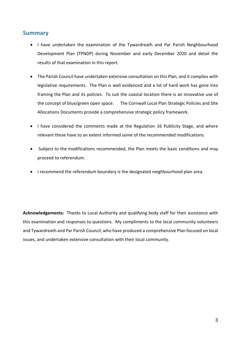## <span id="page-2-0"></span>**Summary**

- I have undertaken the examination of the Tywardreath and Par Parish Neighbourhood Development Plan (TPNDP) during November and early December 2020 and detail the results of that examination in this report.
- The Parish Council have undertaken extensive consultation on this Plan, and it complies with legislative requirements. The Plan is well evidenced and a lot of hard work has gone into framing the Plan and its policies. To suit the coastal location there is an innovative use of the concept of blue/green open space. The Cornwall Local Plan Strategic Policies and Site Allocations Documents provide a comprehensive strategic policy framework.
- I have considered the comments made at the Regulation 16 Publicity Stage, and where relevant these have to an extent informed some of the recommended modifications.
- Subject to the modifications recommended, the Plan meets the basic conditions and may proceed to referendum.
- I recommend the referendum boundary is the designated neighbourhood plan area.

**Acknowledgements:** Thanks to Local Authority and qualifying body staff for their assistance with this examination and responses to questions. My compliments to the local community volunteers and Tywardreath and Par Parish Council, who have produced a comprehensive Plan focused on local issues, and undertaken extensive consultation with their local community.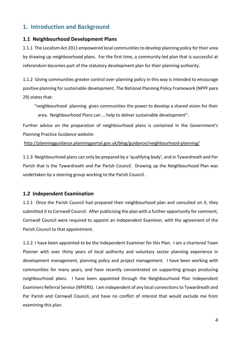## <span id="page-3-0"></span>**1. Introduction and Background**

#### <span id="page-3-1"></span>**1.1 Neighbourhood Development Plans**

1.1.1 The Localism Act 2011 empowered local communitiesto develop planning policy for their area by drawing up neighbourhood plans. For the first time, a community-led plan that is successful at referendum becomes part of the statutory development plan for their planning authority.

1.1.2 Giving communities greater control over planning policy in this way is intended to encourage positive planning for sustainable development. The National Planning Policy Framework (NPPF para 29) states that:

"neighbourhood planning gives communities the power to develop a shared vision for their area. Neighbourhood Plans can … help to deliver sustainable development".

Further advice on the preparation of neighbourhood plans is contained in the Government's Planning Practice Guidance website:

<http://planningguidance.planningportal.gov.uk/blog/guidance/neighbourhood-planning/>

1.1.3 Neighbourhood plans can only be prepared by a 'qualifying body', and in Tywardreath and Par Parish that is the Tywardreath and Par Parish Council. Drawing up the Neighbourhood Plan was undertaken by a steering group working to the Parish Council .

#### <span id="page-3-2"></span>**1.2 Independent Examination**

1.2.1 Once the Parish Council had prepared their neighbourhood plan and consulted on it, they submitted it to Cornwall Council. After publicising the plan with a further opportunity for comment, Cornwall Council were required to appoint an Independent Examiner, with the agreement of the Parish Council to that appointment.

1.2.2 I have been appointed to be the Independent Examiner for this Plan. I am a chartered Town Planner with over thirty years of local authority and voluntary sector planning experience in development management, planning policy and project management. I have been working with communities for many years, and have recently concentrated on supporting groups producing neighbourhood plans. I have been appointed through the Neighbourhood Plan Independent Examiners Referral Service (NPIERS). I am independent of any local connectionsto Tywardreath and Par Parish and Cornwall Council, and have no conflict of interest that would exclude me from examining this plan.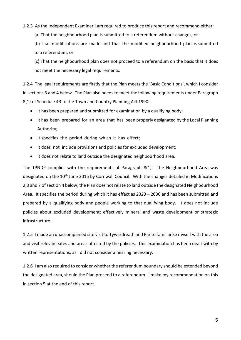#### 1.2.3 As the Independent Examiner I am required to produce this report and recommend either:

(a) That the neighbourhood plan is submitted to a referendum without changes; or

(b) That modifications are made and that the modified neighbourhood plan is submitted to a referendum; or

(c) That the neighbourhood plan does not proceed to a referendum on the basis that it does not meet the necessary legal requirements.

1.2.4 The legal requirements are firstly that the Plan meets the 'Basic Conditions', which I consider in sections 3 and 4 below. The Plan also needs to meet the following requirements under Paragraph 8(1) of Schedule 4B to the Town and Country Planning Act 1990:

- It has been prepared and submitted for examination by a qualifying body;
- It has been prepared for an area that has been properly designated by the Local Planning Authority;
- It specifies the period during which it has effect;
- It does not include provisions and policies for excluded development;
- It does not relate to land outside the designated neighbourhood area.

The TPNDP complies with the requirements of Paragraph 8(1). The Neighbourhood Area was designated on the 10<sup>th</sup> June 2015 by Cornwall Council. With the changes detailed in Modifications 2,3 and 7 of section 4 below, the Plan does not relate to land outside the designated Neighbourhood Area. It specifies the period during which it has effect as 2020 – 2030 and has been submitted and prepared by a qualifying body and people working to that qualifying body. It does not include policies about excluded development; effectively mineral and waste development or strategic infrastructure.

1.2.5 I made an unaccompanied site visit to Tywardreath and Par to familiarise myself with the area and visit relevant sites and areas affected by the policies. This examination has been dealt with by written representations, as I did not consider a hearing necessary.

1.2.6 I am also required to consider whether the referendum boundary should be extended beyond the designated area, should the Plan proceed to a referendum. I make my recommendation on this in section 5 at the end of this report.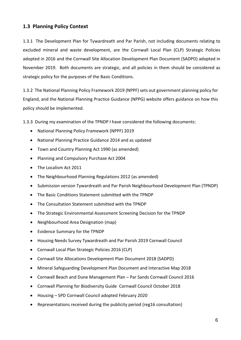### <span id="page-5-0"></span>**1.3 Planning Policy Context**

1.3.1 The Development Plan for Tywardreath and Par Parish, not including documents relating to excluded mineral and waste development, are the Cornwall Local Plan (CLP) Strategic Policies adopted in 2016 and the Cornwall Site Allocation Development Plan Document (SADPD) adopted in November 2019. Both documents are strategic, and all policies in them should be considered as strategic policy for the purposes of the Basic Conditions.

1.3.2 The National Planning Policy Framework 2019 (NPPF) sets out government planning policy for England, and the National Planning Practice Guidance (NPPG) website offers guidance on how this policy should be implemented.

1.3.3 During my examination of the TPNDP I have considered the following documents:

- National Planning Policy Framework (NPPF) 2019
- National Planning Practice Guidance 2014 and as updated
- Town and Country Planning Act 1990 (as amended)
- Planning and Compulsory Purchase Act 2004
- The Localism Act 2011
- The Neighbourhood Planning Regulations 2012 (as amended)
- Submission version Tywardreath and Par Parish Neighbourhood Development Plan (TPNDP)
- The Basic Conditions Statement submitted with the TPNDP
- The Consultation Statement submitted with the TPNDP
- The Strategic Environmental Assessment Screening Decision for the TPNDP
- Neighbourhood Area Designation (map)
- Evidence Summary for the TPNDP
- Housing Needs Survey Tywardreath and Par Parish 2019 Cornwall Council
- Cornwall Local Plan Strategic Policies 2016 (CLP)
- Cornwall Site Allocations Development Plan Document 2018 (SADPD)
- Mineral Safeguarding Development Plan Document and Interactive Map 2018
- Cornwall Beach and Dune Management Plan Par Sands Cornwall Council 2016
- Cornwall Planning for Biodiversity Guide Cornwall Council October 2018
- Housing SPD Cornwall Council adopted February 2020
- Representations received during the publicity period (reg16 consultation)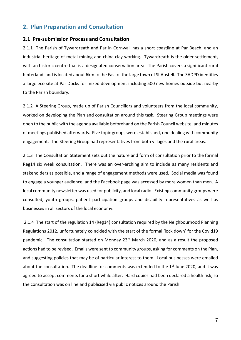## <span id="page-6-0"></span>**2. Plan Preparation and Consultation**

#### <span id="page-6-1"></span>**2.1 Pre-submission Process and Consultation**

2.1.1 The Parish of Tywardreath and Par in Cornwall has a short coastline at Par Beach, and an industrial heritage of metal mining and china clay working. Tywardreath is the older settlement, with an historic centre that is a designated conservation area. The Parish covers a significant rural hinterland, and islocated about 6km to the East of the large town of St Austell. The SADPD identifies a large eco-site at Par Docks for mixed development including 500 new homes outside but nearby to the Parish boundary.

2.1.2 A Steering Group, made up of Parish Councillors and volunteers from the local community, worked on developing the Plan and consultation around this task. Steering Group meetings were open to the public with the agenda available beforehand on the Parish Council website, and minutes of meetings published afterwards. Five topic groups were established, one dealing with community engagement. The Steering Group had representatives from both villages and the rural areas.

2.1.3 The Consultation Statement sets out the nature and form of consultation prior to the formal Reg14 six week consultation. There was an over-arching aim to include as many residents and stakeholders as possible, and a range of engagement methods were used. Social media was found to engage a younger audience, and the Facebook page was accessed by more women than men. A local community newsletter was used for publicity, and local radio. Existing community groups were consulted, youth groups, patient participation groups and disability representatives as well as businesses in all sectors of the local economy.

2.1.4 The start of the regulation 14 (Reg14) consultation required by the Neighbourhood Planning Regulations 2012, unfortunately coincided with the start of the formal 'lock down' for the Covid19 pandemic. The consultation started on Monday 23<sup>rd</sup> March 2020, and as a result the proposed actions had to be revised. Emails were sent to community groups, asking for comments on the Plan, and suggesting policies that may be of particular interest to them. Local businesses were emailed about the consultation. The deadline for comments was extended to the 1<sup>st</sup> June 2020, and it was agreed to accept comments for a short while after. Hard copies had been declared a health risk, so the consultation was on line and publicised via public notices around the Parish.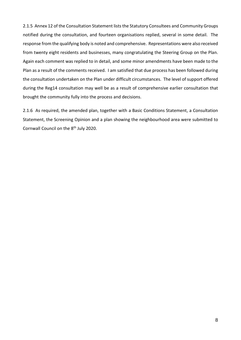2.1.5 Annex 12 of the Consultation Statement lists the Statutory Consultees and Community Groups notified during the consultation, and fourteen organisations replied, several in some detail. The response from the qualifying body is noted and comprehensive. Representations were also received from twenty eight residents and businesses, many congratulating the Steering Group on the Plan. Again each comment was replied to in detail, and some minor amendments have been made to the Plan as a result of the comments received. I am satisfied that due process has been followed during the consultation undertaken on the Plan under difficult circumstances. The level of support offered during the Reg14 consultation may well be as a result of comprehensive earlier consultation that brought the community fully into the process and decisions.

<span id="page-7-0"></span>2.1.6 As required, the amended plan, together with a Basic Conditions Statement, a Consultation Statement, the Screening Opinion and a plan showing the neighbourhood area were submitted to Cornwall Council on the 8<sup>th</sup> July 2020.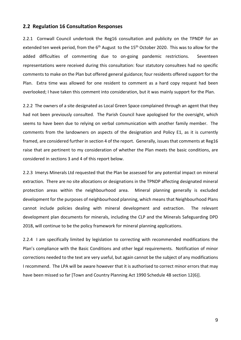#### **2.2 Regulation 16 Consultation Responses**

2.2.1 Cornwall Council undertook the Reg16 consultation and publicity on the TPNDP for an extended ten week period, from the 6<sup>th</sup> August to the 15<sup>th</sup> October 2020. This was to allow for the added difficulties of commenting due to on-going pandemic restrictions. Seventeen representations were received during this consultation: four statutory consultees had no specific comments to make on the Plan but offered general guidance; four residents offered support for the Plan. Extra time was allowed for one resident to comment as a hard copy request had been overlooked; I have taken this comment into consideration, but it was mainly support for the Plan.

2.2.2 The owners of a site designated as Local Green Space complained through an agent that they had not been previously consulted. The Parish Council have apologised for the oversight, which seems to have been due to relying on verbal communication with another family member. The comments from the landowners on aspects of the designation and Policy E1, as it is currently framed, are considered further in section 4 of the report. Generally, issuesthat comments at Reg16 raise that are pertinent to my consideration of whether the Plan meets the basic conditions, are considered in sections 3 and 4 of this report below.

2.2.3 Imerys Minerals Ltd requested that the Plan be assessed for any potential impact on mineral extraction. There are no site allocations or designations in the TPNDP affecting designated mineral protection areas within the neighbourhood area. Mineral planning generally is excluded development for the purposes of neighbourhood planning, which means that Neighbourhood Plans cannot include policies dealing with mineral development and extraction. The relevant development plan documents for minerals, including the CLP and the Minerals Safeguarding DPD 2018, will continue to be the policy framework for mineral planning applications.

2.2.4 I am specifically limited by legislation to correcting with recommended modifications the Plan's compliance with the Basic Conditions and other legal requirements. Notification of minor corrections needed to the text are very useful, but again cannot be the subject of any modifications I recommend. The LPA will be aware however that it is authorised to correct minor errors that may have been missed so far [Town and Country Planning Act 1990 Schedule 4B section 12(6)].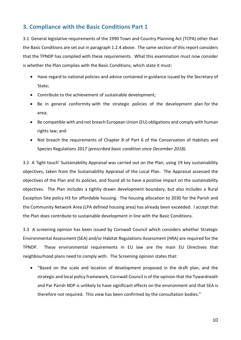## <span id="page-9-0"></span>**3. Compliance with the Basic Conditions Part 1**

3.1 General legislative requirements of the 1990 Town and Country Planning Act (TCPA) other than the Basic Conditions are set out in paragraph 1.2.4 above. The same section of this report considers that the TPNDP has complied with these requirements. What this examination must now consider is whether the Plan complies with the Basic Conditions, which state it must:

- Have regard to national policies and advice contained in guidance issued by the Secretary of State;
- Contribute to the achievement of sustainable development;
- Be in general conformity with the strategic policies of the development plan for the area;
- Be compatible with and not breach European Union (EU) obligations and comply with human rights law; and
- Not breach the requirements of Chapter 8 of Part 6 of the Conservation of Habitats and Species Regulations 2017 *(prescribed basic condition since December 2018).*

3.2 A 'light touch' Sustainability Appraisal was carried out on the Plan, using 19 key sustainability objectives, taken from the Sustainability Appraisal of the Local Plan. The Appraisal assessed the objectives of the Plan and its policies, and found all to have a positive impact on the sustainability objectives. The Plan includes a tightly drawn development boundary, but also includes a Rural Exception Site policy H3 for affordable housing. The housing allocation to 2030 for the Parish and the Community Network Area (LPA defined housing area) has already been exceeded. I accept that the Plan does contribute to sustainable development in line with the Basic Conditions.

3.3 A screening opinion has been issued by Cornwall Council which considers whether Strategic Environmental Assessment (SEA) and/or Habitat Regulations Assessment (HRA) are required for the TPNDP. These environmental requirements in EU law are the main EU Directives that neighbourhood plans need to comply with. The Screening opinion states that:

 "Based on the scale and location of development proposed in the draft plan, and the strategic and local policy framework, Cornwall Council is of the opinion that the Tywardreath and Par Parish NDP is unlikely to have significant effects on the environment and that SEA is therefore not required. This view has been confirmed by the consultation bodies."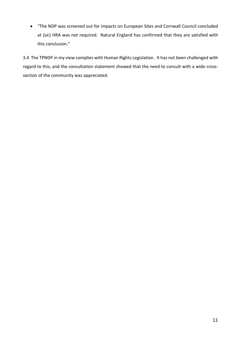"The NDP was screened out for impacts on European Sites and Cornwall Council concluded at (*sic*) HRA was not required. Natural England has confirmed that they are satisfied with this conclusion."

3.4 The TPNDP in my view complies with Human Rights Legislation. It has not been challenged with regard to this, and the consultation statement showed that the need to consult with a wide crosssection of the community was appreciated.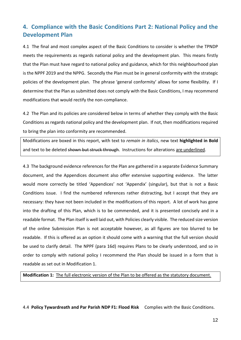# <span id="page-11-0"></span>**4. Compliance with the Basic Conditions Part 2: National Policy and the Development Plan**

4.1 The final and most complex aspect of the Basic Conditions to consider is whether the TPNDP meets the requirements as regards national policy and the development plan. This means firstly that the Plan must have regard to national policy and guidance, which for this neighbourhood plan is the NPPF 2019 and the NPPG. Secondly the Plan must be in general conformity with the strategic policies of the development plan. The phrase 'general conformity' allows for some flexibility. If I determine that the Plan as submitted does not comply with the Basic Conditions, I may recommend modifications that would rectify the non-compliance.

4.2 The Plan and its policies are considered below in terms of whether they comply with the Basic Conditions as regards national policy and the development plan. If not, then modificationsrequired to bring the plan into conformity are recommended.

Modifications are boxed in this report, with text to *remain in italics*, new text **highlighted in Bold** and text to be deleted shown but struck through. Instructions for alterations are underlined.

4.3 The background evidence references for the Plan are gathered in a separate Evidence Summary document, and the Appendices document also offer extensive supporting evidence. The latter would more correctly be titled 'Appendices' not 'Appendix' (singular), but that is not a Basic Conditions issue. I find the numbered references rather distracting, but I accept that they are necessary: they have not been included in the modifications of this report. A lot of work has gone into the drafting of this Plan, which is to be commended, and it is presented concisely and in a readable format. The Plan itself is well laid out, with Policies clearly visible. The reduced size version of the online Submission Plan is not acceptable however, as all figures are too blurred to be readable. If this is offered as an option it should come with a warning that the full version should be used to clarify detail. The NPPF (para 16d) requires Plans to be clearly understood, and so in order to comply with national policy I recommend the Plan should be issued in a form that is readable as set out in Modification 1.

**Modification 1:** The full electronic version of the Plan to be offered as the statutory document.

4.4 **Policy Tywardreath and Par Parish NDP F1: Flood Risk** Complies with the Basic Conditions.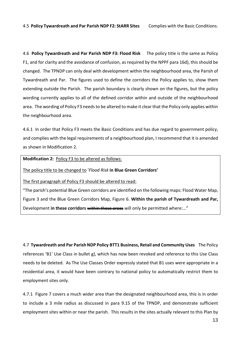4.6 **Policy Tywardreath and Par Parish NDP F3: Flood Risk** The policy title is the same as Policy F1, and for clarity and the avoidance of confusion, as required by the NPPF para 16d), this should be changed. The TPNDP can only deal with development within the neighbourhood area, the Parish of Tywardreath and Par. The figures used to define the corridors the Policy applies to, show them extending outside the Parish. The parish boundary is clearly shown on the figures, but the policy wording currently applies to all of the defined corridor within and outside of the neighbourhood area. The wording of Policy F3 needs to be altered to make it clear that the Policy only applies within the neighbourhood area.

4.6.1 In order that Policy F3 meets the Basic Conditions and has due regard to government policy, and complies with the legal requirements of a neighbourhood plan, I recommend that it is amended as shown in Modification 2.

**Modification 2:** Policy F3 to be altered as follows:

The policy title to be changed to '*Flood Risk* **in Blue Green Corridors'**

The first paragraph of Policy F3 should be altered to read:

"The parish's potential Blue Green corridors are identified on the following maps: Flood Water Map, Figure 3 and the Blue Green Corridors Map, Figure 6. **Within the parish of Tywardreath and Par,** Development in these corridors within these areas will only be permitted where:..."

4.7 **Tywardreath and Par Parish NDP Policy BTT1 Business, Retail and Community Uses** The Policy references 'B1' Use Class in bullet g), which has now been revoked and reference to this Use Class needs to be deleted. As The Use Classes Order expressly stated that B1 uses were appropriate in a residential area, it would have been contrary to national policy to automatically restrict them to employment sites only.

4.7.1 Figure 7 covers a much wider area than the designated neighbourhood area, this is in order to include a 3 mile radius as discussed in para 9.15 of the TPNDP, and demonstrate sufficient employment sites within or near the parish. This results in the sites actually relevant to this Plan by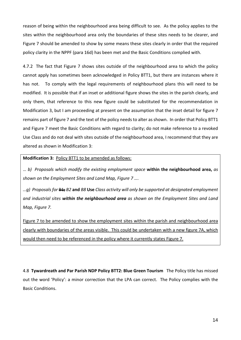reason of being within the neighbourhood area being difficult to see. As the policy applies to the sites within the neighbourhood area only the boundaries of these sites needs to be clearer, and Figure 7 should be amended to show by some means these sites clearly in order that the required policy clarity in the NPPF (para 16d) has been met and the Basic Conditions complied with.

4.7.2 The fact that Figure 7 shows sites outside of the neighbourhood area to which the policy cannot apply has sometimes been acknowledged in Policy BTT1, but there are instances where it has not. To comply with the legal requirements of neighbourhood plans this will need to be modified. It is possible that if an inset or additional figure shows the sites in the parish clearly, and only them, that reference to this new figure could be substituted for the recommendation in Modification 3, but I am proceeding at present on the assumption that the inset detail for figure 7 remains part of figure 7 and the text of the policy needs to alter as shown. In order that Policy BTT1 and Figure 7 meet the Basic Conditions with regard to clarity; do not make reference to a revoked Use Class and do not deal with sites outside of the neighbourhood area, I recommend that they are altered as shown in Modification 3:

#### **Modification 3:** Policy BTT1 to be amended as follows:

… *b) Proposals which modify the existing employment space* **within the neighbourhood area,** *as shown on the Employment Sites and Land Map, Figure 7 ….*

*…g) Proposals for* B1; *B2* **and** *B8* **Use** *Class activity will only be supported at designated employment and industrial sites within the neighbourhood area as shown on the Employment Sites and Land Map, Figure 7.*

Figure 7 to be amended to show the employment sites within the parish and neighbourhood area clearly with boundaries of the areas visible. This could be undertaken with a new figure 7A, which would then need to be referenced in the policy where it currently states Figure 7.

4.8 **Tywardreath and Par Parish NDP Policy BTT2: Blue Green Tourism** The Policy title has missed out the word 'Policy': a minor correction that the LPA can correct. The Policy complies with the Basic Conditions.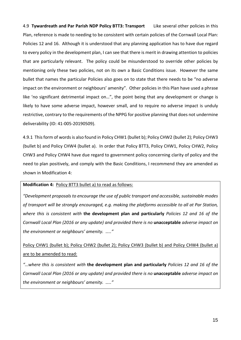4.9 **Tywardreath and Par Parish NDP Policy BTT3: Transport** Like several other policies in this Plan, reference is made to needing to be consistent with certain policies of the Cornwall Local Plan: Policies 12 and 16. Although it is understood that any planning application has to have due regard to every policy in the development plan, I can see that there is merit in drawing attention to policies that are particularly relevant. The policy could be misunderstood to override other policies by mentioning only these two policies, not on its own a Basic Conditions issue. However the same bullet that names the particular Policies also goes on to state that there needs to be "no adverse impact on the environment or neighbours' amenity". Other policies in this Plan have used a phrase like 'no significant detrimental impact on…", the point being that any development or change is likely to have some adverse impact, however small, and to require no adverse impact is unduly restrictive, contrary to the requirements of the NPPG for positive planning that does not undermine deliverability (ID: 41-005-20190509).

4.9.1 This form of words is also found in Policy CHW1 (bullet b); Policy CHW2 (bullet 2); Policy CHW3 (bullet b) and Policy CHW4 (bullet a). In order that Policy BTT3, Policy CHW1, Policy CHW2, Policy CHW3 and Policy CHW4 have due regard to government policy concerning clarity of policy and the need to plan positively, and comply with the Basic Conditions, I recommend they are amended as shown in Modification 4:

**Modification 4:** Policy BTT3 bullet a) to read as follows:

*"Development proposals to encourage the use of public transport and accessible, sustainable modes of transport will be strongly encouraged, e.g. making the platforms accessible to all at Par Station, where this is consistent with* **the development plan and particularly** *Policies 12 and 16 of the Cornwall Local Plan (2016 or any update) and provided there is no* **unacceptable** *adverse impact on the environment or neighbours' amenity. ….."*

Policy CHW1 (bullet b); Policy CHW2 (bullet 2); Policy CHW3 (bullet b) and Policy CHW4 (bullet a) are to be amended to read:

*"…where this is consistent with* **the development plan and particularly** *Policies 12 and 16 of the Cornwall Local Plan (2016 or any update) and provided there is no* **unacceptable** *adverse impact on the environment or neighbours' amenity. ….."*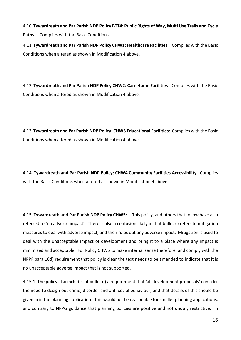4.10 **Tywardreath and Par Parish NDP Policy BTT4: Public Rights of Way, Multi Use Trails and Cycle Paths** Complies with the Basic Conditions.

4.11 **Tywardreath and Par Parish NDP Policy CHW1: Healthcare Facilities** Complies with the Basic Conditions when altered as shown in Modification 4 above.

4.12 **Tywardreath and Par Parish NDP Policy CHW2: Care Home Facilities** Complies with the Basic Conditions when altered as shown in Modification 4 above.

4.13 **Tywardreath and Par Parish NDP Policy: CHW3 Educational Facilities:** Complies with the Basic Conditions when altered as shown in Modification 4 above.

4.14 **Tywardreath and Par Parish NDP Policy: CHW4 Community Facilities Accessibility** Complies with the Basic Conditions when altered as shown in Modification 4 above.

4.15 **Tywardreath and Par Parish NDP Policy CHW5:** This policy, and others that follow have also referred to 'no adverse impact'. There is also a confusion likely in that bullet c) refers to mitigation measures to deal with adverse impact, and then rules out any adverse impact. Mitigation is used to deal with the unacceptable impact of development and bring it to a place where any impact is minimised and acceptable. For Policy CHW5 to make internal sense therefore, and comply with the NPPF para 16d) requirement that policy is clear the text needs to be amended to indicate that it is no unacceptable adverse impact that is not supported.

4.15.1 The policy also includes at bullet d) a requirement that 'all development proposals' consider the need to design out crime, disorder and anti-social behaviour, and that details of this should be given in in the planning application. This would not be reasonable for smaller planning applications, and contrary to NPPG guidance that planning policies are positive and not unduly restrictive. In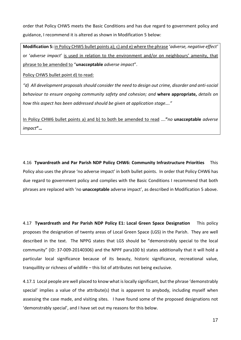order that Policy CHW5 meets the Basic Conditions and has due regard to government policy and guidance, I recommend it is altered as shown in Modification 5 below:

**Modification 5:** in Policy CHW5 bullet points a); c) and e) where the phrase '*adverse, negative effect'* or '*adverse impact*' is used in relation to the environment and/or on neighbours' amenity, that phrase to be amended to "**unacceptable** *adverse impact*".

Policy CHW5 bullet point d) to read:

*"d) All development proposals should consider the need to design out crime, disorder and anti-social behaviour to ensure ongoing community safety and cohesion; and* **where appropriate,** *details on how this aspect has been addressed should be given at application stage…."*

In Policy CHW6 bullet points a) and b) to both be amended to read ….**"***no* **unacceptable** *adverse impact***"…**

4.16 **Tywardreath and Par Parish NDP Policy CHW6: Community Infrastructure Priorities** This Policy also uses the phrase 'no adverse impact' in both bullet points. In order that Policy CHW6 has due regard to government policy and complies with the Basic Conditions I recommend that both phrases are replaced with 'no **unacceptable** adverse impact', as described in Modification 5 above.

4.17 **Tywardreath and Par Parish NDP Policy E1: Local Green Space Designation** This policy proposes the designation of twenty areas of Local Green Space (LGS) in the Parish. They are well described in the text. The NPPG states that LGS should be "demonstrably special to the local community" (ID: 37-009-20140306) and the NPPF para100 b) states additionally that it will hold a particular local significance because of its beauty, historic significance, recreational value, tranquillity or richness of wildlife – this list of attributes not being exclusive.

4.17.1 Local people are well placed to know what islocally significant, but the phrase 'demonstrably special' implies a value of the attribute(s) that is apparent to anybody, including myself when assessing the case made, and visiting sites. I have found some of the proposed designations not 'demonstrably special', and I have set out my reasons for this below.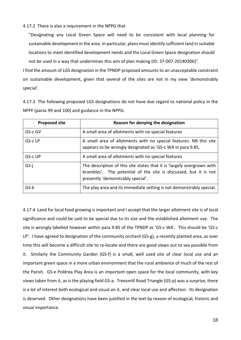#### 4.17.2 There is also a requirement in the NPPG that

"Designating any Local Green Space will need to be consistent with local planning for sustainable development in the area. In particular, plans must identify sufficient land in suitable locations to meet identified development needs and the Local Green Space designation should not be used in a way that undermines this aim of plan making (ID: 37-007-20140306)".

I find the amount of LGS designation in the TPNDP proposed amountsto an unacceptable constraint on sustainable development, given that several of the sites are not in my view 'demonstrably special'.

4.17.3 The following proposed LGS designations do not have due regard to national policy in the NPPF (paras 99 and 100) and guidance in the NPPG:

| <b>Proposed site</b> | Reason for denying the designation                                                                                                                                              |
|----------------------|---------------------------------------------------------------------------------------------------------------------------------------------------------------------------------|
| GS-c GV              | A small area of allotments with no special features                                                                                                                             |
| GS-c LP              | A small area of allotments with no special features. NB this site<br>appears to be wrongly designated as 'GS-c WA in para 9.85.                                                 |
| GS-c UP              | A small area of allotments with no special features                                                                                                                             |
| $GS-i$               | The description of this site states that it is 'largely overgrown with<br>brambles'. The potential of the site is discussed, but it is not<br>presently 'demonstrably special'. |
| $GS-k$               | The play area and its immediate setting is not demonstrably special.                                                                                                            |

4.17.4 Land for local food growing is important and I accept that the larger allotment site is of local significance and could be said to be special due to its size and the established allotment use. The site is wrongly labelled however within para 9.85 of the TPNDP as 'GS-c WA'. This should be 'GS-c LP'. I have agreed to designation of the community orchard (GS-g), a recently planted area, as over time this will become a difficult site to re-locate and there are good views out to sea possible from it. Similarly the Community Garden (GS-f) is a small, well used site of clear local use and an important green space in a more urban environment that the rural ambience of much of the rest of the Parish. GS-e Poldrea Play Area is an important open space for the local community, with key views taken from it, as is the playing field GS-a. Treesmill Road Triangle (GS-p) was a surprise, there is a lot of interest both ecological and visual on it, and clear local use and affection. Its designation is deserved. Other designations have been justified in the text by reason of ecological, historic and visual importance.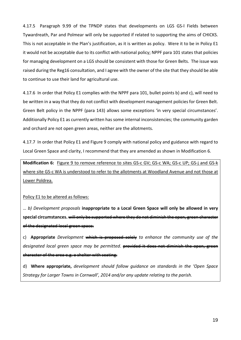4.17.5 Paragraph 9.99 of the TPNDP states that developments on LGS GS-l Fields between Tywardreath, Par and Polmear will only be supported if related to supporting the aims of CHICKS. This is not acceptable in the Plan's justification, as it is written as policy. Were it to be in Policy E1 it would not be acceptable due to its conflict with national policy; NPPF para 101 states that policies for managing development on a LGS should be consistent with those for Green Belts. The issue was raised during the Reg16 consultation, and I agree with the owner of the site that they should be able to continue to use their land for agricultural use.

4.17.6 In order that Policy E1 complies with the NPPF para 101, bullet points b) and c), will need to be written in a way that they do not conflict with development management policies for Green Belt. Green Belt policy in the NPPF (para 143) allows some exceptions 'in very special circumstances'. Additionally Policy E1 as currently written has some internal inconsistencies; the community garden and orchard are not open green areas, neither are the allotments.

4.17.7 In order that Policy E1 and Figure 9 comply with national policy and guidance with regard to Local Green Space and clarity, I recommend that they are amended as shown in Modification 6.

**Modification 6:** Figure 9 to remove reference to sites GS-c GV; GS-c WA; GS-c UP; GS-j and GS-k where site GS-c WA is understood to refer to the allotments at Woodland Avenue and not those at Lower Poldrea.

Policy E1 to be altered as follows:

… *b) Development proposals* **inappropriate to a Local Green Space will only be allowed in very** special circumstances. will only be supported where they do not diminish the of the designated local green space.

c) **Appropriate** *Development* which is proposed solely *to enhance the community use of the designated local green space may be permitted*. **provided it does not diminish** character of the area e.g. a shelter with seating.

d) **Where appropriate,** *development should follow guidance on standards in the 'Open Space Strategy for Larger Towns in Cornwall', 2014 and/or any update relating to the parish.*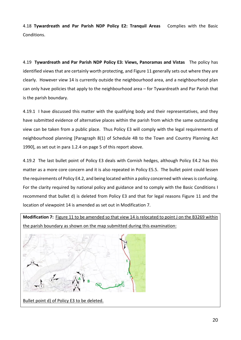4.18 **Tywardreath and Par Parish NDP Policy E2: Tranquil Areas** Complies with the Basic Conditions.

4.19 **Tywardreath and Par Parish NDP Policy E3: Views, Panoramas and Vistas** The policy has identified views that are certainly worth protecting, and Figure 11 generally sets out where they are clearly. However view 14 is currently outside the neighbourhood area, and a neighbourhood plan can only have policies that apply to the neighbourhood area – for Tywardreath and Par Parish that is the parish boundary.

4.19.1 I have discussed this matter with the qualifying body and their representatives, and they have submitted evidence of alternative places within the parish from which the same outstanding view can be taken from a public place. Thus Policy E3 will comply with the legal requirements of neighbourhood planning [Paragraph 8(1) of Schedule 4B to the Town and Country Planning Act 1990], as set out in para 1.2.4 on page 5 of this report above.

4.19.2 The last bullet point of Policy E3 deals with Cornish hedges, although Policy E4.2 has this matter as a more core concern and it is also repeated in Policy E5.5. The bullet point could lessen the requirements of Policy E4.2, and being located within a policy concerned with views is confusing. For the clarity required by national policy and guidance and to comply with the Basic Conditions I recommend that bullet d) is deleted from Policy E3 and that for legal reasons Figure 11 and the location of viewpoint 14 is amended as set out in Modification 7.

**Modification 7:** Figure 11 to be amended so that view 14 isrelocated to point J on the B3269 within the parish boundary as shown on the map submitted during this examination:



Bullet point d) of Policy E3 to be deleted.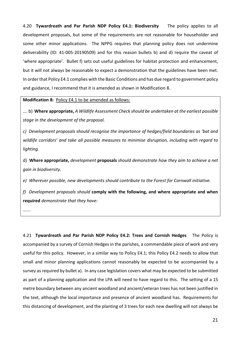4.20 **Tywardreath and Par Parish NDP Policy E4.1: Biodiversity** The policy applies to all development proposals, but some of the requirements are not reasonable for householder and some other minor applications. The NPPG requires that planning policy does not undermine deliverability (ID: 41-005-20190509) and for this reason bullets b) and d) require the caveat of 'where appropriate'. Bullet f) sets out useful guidelines for habitat protection and enhancement, but it will not always be reasonable to expect a demonstration that the guidelines have been met. In orderthat Policy E4.1 complies with the Basic Conditions and has due regard to government policy and guidance, I recommend that it is amended as shown in Modification 8.

**Modification 8:** Policy E4.1 to be amended as follows:

…. b) **Where appropriate,** *A Wildlife Assessment Check should be undertaken at the earliest possible stage in the development of the proposal.*

*c) Development proposals should recognise the importance of hedges/field boundaries as 'bat and wildlife corridors' and take all possible measures to minimise disruption, including with regard to lighting.*

d) **Where appropriate,** *development* **proposals** *should demonstrate how they aim to achieve a net gain in biodiversity.*

*e) Wherever possible, new developments should contribute to the Forest for Cornwall initiative.*

*f) Development proposals should* **comply with the following, and where appropriate and when required** *demonstrate that they have:*

…….

4.21 **Tywardreath and Par Parish NDP Policy E4.2: Trees and Cornish Hedges** The Policy is accompanied by a survey of Cornish Hedges in the parishes, a commendable piece of work and very useful for this policy. However, in a similar way to Policy E4.1; this Policy E4.2 needs to allow that small and minor planning applications cannot reasonably be expected to be accompanied by a survey as required by bullet a). In any case legislation covers what may be expected to be submitted as part of a planning application and the LPA will need to have regard to this. The setting of a 15 metre boundary between any ancient woodland and ancient/veteran trees has not been justified in the text, although the local importance and presence of ancient woodland has. Requirements for this distancing of development, and the planting of 3 trees for each new dwelling will not always be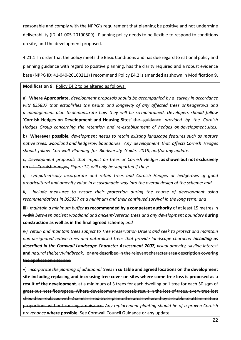reasonable and comply with the NPPG's requirement that planning be positive and not undermine deliverability (ID: 41-005-20190509). Planning policy needs to be flexible to respond to conditions on site, and the development proposed.

4.21.1 In order that the policy meets the Basic Conditions and has due regard to national policy and planning guidance with regard to positive planning, has the clarity required and a robust evidence base (NPPG ID: 41-040-20160211) I recommend Policy E4.2 is amended as shown in Modification 9.

**Modification 9:** Policy E4.2 to be altered as follows:

a) **Where Appropriate,** *development proposals should be accompanied by a survey in accordance with BS5837 that establishes the health and longevity of any affected trees or hedgerows and a management plan to demonstrate how they will be so maintained. Developers should follow* '**Cornish Hedges on Development and Housing Sites'** the guidance *provided by the Cornish Hedges Group concerning the retention and re-establishment of hedges on development sites.*

b) **Wherever possible***, development needs to retain existing landscape features such as mature native trees, woodland and hedgerow boundaries. Any development that affects Cornish Hedges should follow Cornwall Planning for Biodiversity Guide, 2018, and/or any update.*

*c) Development proposals that impact on trees or Cornish Hedges*, **as shown but not exclusively on** c.f. Cornish Hedges, *Figure 12, will only be supported if they:*

i*) sympathetically incorporate and retain trees and Cornish Hedges or hedgerows of good arboricultural and amenity value in a sustainable way into the overall design of the scheme; and*

*ii) include measures to ensure their protection during the course of development using recommendations in BS5837 as a minimum and their continued survival in the long term; and*

iii) *maintain a minimum buffer* **as recommended by a competent authority** of at least 15 metres in width *between ancient woodland and ancient/veteran trees and any development boundary* **during construction as well as in the final agreed scheme;** *and*

*iv) retain and maintain trees subject to Tree Preservation Orders and seek to protect and maintain non-designated native trees and naturalised trees that provide landscape character including as described in the Cornwall Landscape Character Assessment 2007, visual amenity, skyline interest* **and** *natural shelter/windbreak*. <del>or are described in the relevant character area description cover</del> the application site; and

v) *incorporate the planting of additional trees***in suitable and agreed locations on the development site including replacing and increasing tree cover on sites where some tree loss is proposed as a result of the development.** at a minimum of 3 trees for each dwelling or 1 tree for each 50 sqm of gross business floorspace. Where development proposals result in the loss of trees, every tree lost should be replaced with 2 similar sized trees planted in areas where they are able to attain mature proportions without causing a nuisance. *Any replacement planting should be of a proven Cornish provenance* **where possible.** See Cornwall Council Guidance or any update.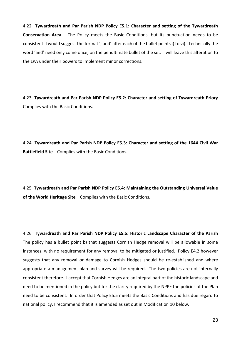4.22 **Tywardreath and Par Parish NDP Policy E5.1: Character and setting of the Tywardreath Conservation Area** The Policy meets the Basic Conditions, but its punctuation needs to be consistent: I would suggest the format '; and' after each of the bullet points i) to vi). Technically the word 'and' need only come once, on the penultimate bullet of the set. I will leave this alteration to the LPA under their powers to implement minor corrections.

4.23 **Tywardreath and Par Parish NDP Policy E5.2: Character and setting of Tywardreath Priory** Complies with the Basic Conditions.

4.24 **Tywardreath and Par Parish NDP Policy E5.3: Character and setting of the 1644 Civil War Battlefield Site** Complies with the Basic Conditions.

4.25 **Tywardreath and Par Parish NDP Policy E5.4: Maintaining the Outstanding Universal Value of the World Heritage Site** Complies with the Basic Conditions.

4.26 **Tywardreath and Par Parish NDP Policy E5.5: Historic Landscape Character of the Parish** The policy has a bullet point b) that suggests Cornish Hedge removal will be allowable in some instances, with no requirement for any removal to be mitigated or justified. Policy E4.2 however suggests that any removal or damage to Cornish Hedges should be re-established and where appropriate a management plan and survey will be required. The two policies are not internally consistent therefore. I accept that Cornish Hedges are an integral part of the historic landscape and need to be mentioned in the policy but for the clarity required by the NPPF the policies of the Plan need to be consistent. In order that Policy E5.5 meets the Basic Conditions and has due regard to national policy, I recommend that it is amended as set out in Modification 10 below.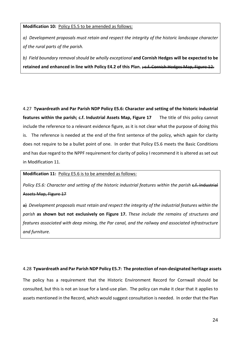#### **Modification 10:** Policy E5.5 to be amended as follows:

*a) Development proposals must retain and respect the integrity of the historic landscape character of the rural parts of the parish.*

*b) Field boundary removal should be wholly exceptional* **and Cornish Hedges will be expected to be retained and enhanced in line with Policy E4.2 of this Plan.** ; c.f. Cornish Hedges Map, Figure 12.

4.27 **Tywardreath and Par Parish NDP Policy E5.6: Character and setting of the historic industrial features within the parish; c.f. Industrial Assets Map, Figure 17** The title of this policy cannot include the reference to a relevant evidence figure, as it is not clear what the purpose of doing this is. The reference is needed at the end of the first sentence of the policy, which again for clarity does not require to be a bullet point of one. In order that Policy E5.6 meets the Basic Conditions and has due regard to the NPPF requirement for clarity of policy I recommend it is altered as set out in Modification 11.

#### **Modification 11:** Policy E5.6 is to be amended as follows:

*Policy E5.6: Character and setting of the historic industrial features within the parish* c.f. Industrial Assets Map, Figure 17

a) *Development proposals must retain and respect the integrity of the industrial features within the parish* **as shown but not exclusively on Figure 17.** *These include the remains of structures and features associated with deep mining, the Par canal, and the railway and associated infrastructure and furniture.*

#### 4.28 **Tywardreath and Par Parish NDP Policy E5.7: The protection of non-designated heritage assets**

The policy has a requirement that the Historic Environment Record for Cornwall should be consulted, but this is not an issue for a land-use plan. The policy can make it clear that it applies to assets mentioned in the Record, which would suggest consultation is needed. In order that the Plan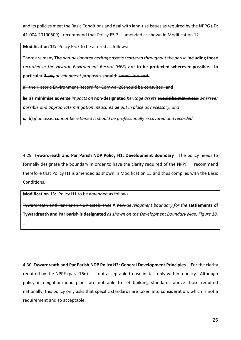and its policies meet the Basic Conditions and deal with land-use issues as required by the NPPG (ID: 41-004-20190509) I recommend that Policy E5.7 is amended as shown in Modification 12.

**Modification 12:** Policy E5.7 to be altered as follows:

There are many **The** *non-designated heritage assetsscattered throughout the parish* **including those** *recorded in the Historic Environment Record (HER)* **are to be protected wherever possible. In particular** If any *development proposals* should: comes forward:

the Historic Environment Record for Cornwall28should be consulted; and

b) **a) minimise adverse** *impacts on* **non-designated** *heritage assets* should be minimised *wherever possible and appropriate mitigation measures* **be** *put in place as necessary; and*

*c)* **b)** *if an asset cannot be retained it should be professionally excavated and recorded.* 

4.29 **Tywardreath and Par Parish NDP Policy H1: Development Boundary** The policy needs to formally designate the boundary in order to have the clarity required of the NPPF. I recommend therefore that Policy H1 is amended as shown in Modification 13 and thus complies with the Basic Conditions.

**Modification 13:** Policy H1 to be amended as follows:

Tywardreath and Par Parish NDP establishes **A** new *development boundary for the* **settlements of Tywardreath and Par** parish **is designated** *as shown on the Development Boundary Map, Figure 18.* ….

4.30 **Tywardreath and Par Parish NDP Policy H2: General Development Principles** For the clarity required by the NPPF (para 16d) it is not acceptable to use initials only within a policy. Although policy in neighbourhood plans are not able to set building standards above those required nationally, this policy only asks that specific standards are taken into consideration, which is not a requirement and so acceptable.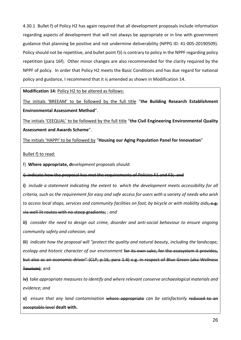4.30.1 Bullet f) of Policy H2 has again required that all development proposals include information regarding aspects of development that will not always be appropriate or in line with government guidance that planning be positive and not undermine deliverability (NPPG ID: 41-005-20190509). Policy should not be repetitive, and bullet point f)i) is contrary to policy in the NPPF regarding policy repetition (para 16f). Other minor changes are also recommended for the clarity required by the NPPF of policy. In order that Policy H2 meets the Basic Conditions and has due regard for national policy and guidance, I recommend that it is amended as shown in Modification 14.

**Modification 14:** Policy H2 to be altered as follows:

The initials 'BREEAM' to be followed by the full title "**the Building Research Establishment Environmental Assessment Method**".

The initials 'CEEQUAL' to be followed by the full title "**the Civil Engineering Environmental Quality Assessment and Awards Scheme**".

The initials 'HAPPI' to be followed by "**Housing our Aging Population Panel for Innovation**"

Bullet f) to read:

f) **Where appropriate, d**e*velopment proposals should*:

i) indicate how the proposal has met the requirements of Policies F1 and F3; and

**i)** *include a statement indicating the extent to which the development meets accessibility for all* criteria, such as the requirement for easy and safe access for users with a variety of needs who wish *to access local shops, services and community facilities on foot, by bicycle or with mobility aids*, e.g. via well-lit routes with no steep gradients; ; *and*

**ii)** *consider the need to design out crime, disorder and anti-social behaviour to ensure ongoing community safety and cohesion; and*

**iii**) *indicate how the proposal will "protect the quality and natural beauty, including the landscape, ecology* and *historic character of our environment* for its own sake, for the ecosystem it pro but also as an economic driver" (CLP, p.16, para 1.4) e.g. in respect Tourism); and

**iv)** *take appropriate measuresto identify and where relevant conserve archaeological materials and evidence; and*

**v)** *ensure that any land contamination* where appropriate *can be satisfactorily* reduced to an acceptable level **dealt with.**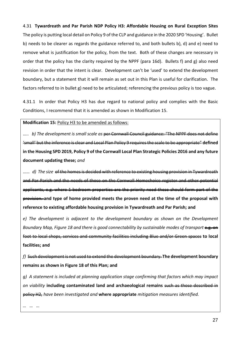4.31 **Tywardreath and Par Parish NDP Policy H3: Affordable Housing on Rural Exception Sites** The policy is putting local detail on Policy 9 of the CLP and guidance in the 2020 SPD 'Housing'. Bullet b) needs to be clearer as regards the guidance referred to, and both bullets b), d) and e) need to remove what is justification for the policy, from the text. Both of these changes are necessary in order that the policy has the clarity required by the NPPF (para 16d). Bullets f) and g) also need revision in order that the intent is clear. Development can't be 'used' to extend the development boundary, but a statement that it will remain as set out in this Plan is useful for clarification. The factors referred to in bullet g) need to be articulated; referencing the previous policy is too vague.

4.31.1 In order that Policy H3 has due regard to national policy and complies with the Basic Conditions, I recommend that it is amended as shown in Modification 15.

**Modification 15:** Policy H3 to be amended as follows:

….. *b) The development is small scale as* per Cornwall Council guidance: "The NPPF does not define 'small' but the inference is clear and Local Plan Policy 9 requiresthe scale to be appropriate" **defined** in the Housing SPD 2019, Policy 9 of the Cornwall Local Plan Strategic Policies 2016 and any future **document updating these;** *and*

...... *d)* The size of the homes is decided with reference to existing housing provision in and Par Parish and the needs of those on the Cornwall Homechoice register and other potential applicants, e.g. where 1-bedroom properties are the priority need these should form part of the provision. **and type of home provided meets the proven need at the time of the proposal with reference to existing affordable housing provision in Tywardreath and Par Parish; and**

*e) The development is adjacent to the development boundary as shown on the Development Boundary Map, Figure 18 and there is good connectability by sustainable modes of transport* e.g. on foot to local shops, services and community facilities including Blue and/or Green spaces **to local facilities; and**

*f)*Such development is not used to extend the development boundary. **The development boundary remains as shown in Figure 18 of this Plan; and**

*g) A statement is included at planning application stage confirming that factors which may impact on viability* **including contaminated land and archaeological remains** such as those described in policy H2, *have been investigated and* **where appropriate** *mitigation measures identified.*

*… … …*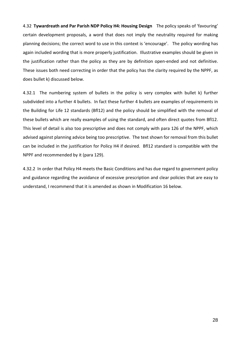4.32 **Tywardreath and Par Parish NDP Policy H4: Housing Design** The policy speaks of 'favouring' certain development proposals, a word that does not imply the neutrality required for making planning decisions; the correct word to use in this context is 'encourage'. The policy wording has again included wording that is more properly justification. Illustrative examples should be given in the justification rather than the policy as they are by definition open-ended and not definitive. These issues both need correcting in order that the policy has the clarity required by the NPPF, as does bullet k) discussed below.

4.32.1 The numbering system of bullets in the policy is very complex with bullet k) further subdivided into a further 4 bullets. In fact these further 4 bullets are examples of requirements in the Building for Life 12 standards (Bfl12) and the policy should be simplified with the removal of these bullets which are really examples of using the standard, and often direct quotes from Bfl12. This level of detail is also too prescriptive and does not comply with para 126 of the NPPF, which advised against planning advice being too prescriptive. The text shown for removal from this bullet can be included in the justification for Policy H4 if desired. Bfl12 standard is compatible with the NPPF and recommended by it (para 129).

4.32.2 In order that Policy H4 meets the Basic Conditions and has due regard to government policy and guidance regarding the avoidance of excessive prescription and clear policies that are easy to understand, I recommend that it is amended as shown in Modification 16 below.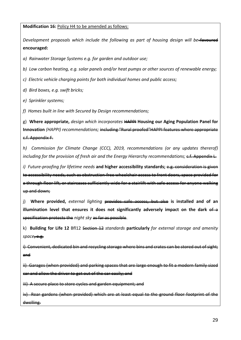**Modification 16:** Policy H4 to be amended as follows:

*Development proposals which include the following as part of housing design will be* favoured **encouraged:**

*a) Rainwater Storage Systems e.g. for garden and outdoor use;*

*b) Low carbon heating, e.g. solar panels and/or heat pumps or other sources of renewable energy;*

*c) Electric vehicle charging points for both individual homes and public access;*

*d) Bird boxes, e.g. swift bricks;*

*e) Sprinkler systems;*

*f) Homes built in line with Secured by Design recommendations;*

g) **Where appropriate,** *design which incorporates* HAPPI **Housing our Aging Population Panel for Innovation** *(HAPPI) recommendations;* including "Rural proofed"HAPPI features where approp c.f. Appendix F.

*h) Commission for Climate Change (CCC), 2019, recommendations (or any updates thererof) including for the provision of fresh air and the Energy Hierarchy recommendations;* c.f. Appendix L.

*i) Future-proofing for lifetime needs* **and higher accessibility standards;** e.g. consideration is given to accessibility needs, such as obstruction-free wheelchair access to front doors, space provided a through floor lift, or staircases sufficiently wide for a stairlift with safe access for anyone walking up and down;

j) **Where provided,** *external lighting* provides safe access, but also **is installed and of an illumination level that ensures it does not significantly adversely impact on the dark** of a specification protects the *night sky* as far as possible.

k) **Building for Life 12** Bfl12 Section 12 *standards* **particularly** *for external storage and amenity space*, e.g.

i) Convenient, dedicated bin and recycling storage where bins and crates can and

Garages (when provided) and parking spaces that are large enough to car and allow the driver to get out of the car easily; and

iii) A secure place to store cycles and garden equipment; and

Rear gardens (when provided) which are at least we<del>lling.</del>